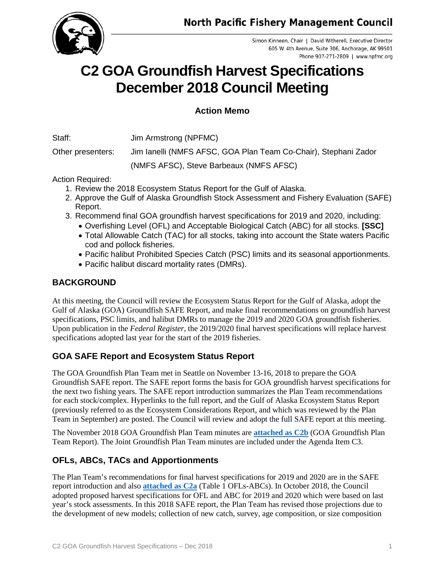

Simon Kinneen, Chair | David Witherell, Executive Director 605 W. 4th Avenue, Suite 306, Anchorage, AK 99501 Phone 907-271-2809 | www.npfmc.org

# **C2 GOA Groundfish Harvest Specifications December 2018 Council Meeting**

## **Action Memo**

Staff: Jim Armstrong (NPFMC)

Other presenters: Jim Ianelli (NMFS AFSC, GOA Plan Team Co-Chair), Stephani Zador (NMFS AFSC), Steve Barbeaux (NMFS AFSC)

Action Required:

- 1. Review the 2018 Ecosystem Status Report for the Gulf of Alaska.
- 2. Approve the Gulf of Alaska Groundfish Stock Assessment and Fishery Evaluation (SAFE) Report.
- 3. Recommend final GOA groundfish harvest specifications for 2019 and 2020, including:
	- Overfishing Level (OFL) and Acceptable Biological Catch (ABC) for all stocks. **[SSC]**
	- Total Allowable Catch (TAC) for all stocks, taking into account the State waters Pacific cod and pollock fisheries.
	- Pacific halibut Prohibited Species Catch (PSC) limits and its seasonal apportionments.
	- Pacific halibut discard mortality rates (DMRs).

## **BACKGROUND**

At this meeting, the Council will review the Ecosystem Status Report for the Gulf of Alaska, adopt the Gulf of Alaska (GOA) Groundfish SAFE Report, and make final recommendations on groundfish harvest specifications, PSC limits, and halibut DMRs to manage the 2019 and 2020 GOA groundfish fisheries. Upon publication in the *Federal Register*, the 2019/2020 final harvest specifications will replace harvest specifications adopted last year for the start of the 2019 fisheries.

# **GOA SAFE Report and Ecosystem Status Report**

The GOA Groundfish Plan Team met in Seattle on November 13-16, 2018 to prepare the GOA Groundfish SAFE report. The SAFE report forms the basis for GOA groundfish harvest specifications for the next two fishing years. The SAFE report introduction summarizes the Plan Team recommendations for each stock/complex. Hyperlinks to the full report, and the Gulf of Alaska Ecosystem Status Report (previously referred to as the Ecosystem Considerations Report, and which was reviewed by the Plan Team in September) are posted. The Council will review and adopt the full SAFE report at this meeting.

The November 2018 GOA Groundfish Plan Team minutes are **[attached as](https://meetings.npfmc.org/CommentReview/DownloadFile?p=fee7971e-7f78-41f6-88e8-f7d85d560dc5.pdf&fileName=C2b%20GOA%20Minutes.pdf) C2b** (GOA Groundfish Plan Team Report). The Joint Groundfish Plan Team minutes are included under the Agenda Item C3.

# **OFLs, ABCs, TACs and Apportionments**

The Plan Team's recommendations for final harvest specifications for 2019 and 2020 are in the SAFE report introduction and also **[attached as](https://meetings.npfmc.org/CommentReview/DownloadFile?p=9ac41967-b773-4b27-8bf9-30337d2a5f21.xlsx&fileName=C2a%20Table%201%20GOA%20Gfish%20Specs%202019-2020.xlsx) C2a** (Table 1 OFLs-ABCs). In October 2018, the Council adopted proposed harvest specifications for OFL and ABC for 2019 and 2020 which were based on last year's stock assessments. In this 2018 SAFE report, the Plan Team has revised those projections due to the development of new models; collection of new catch, survey, age composition, or size composition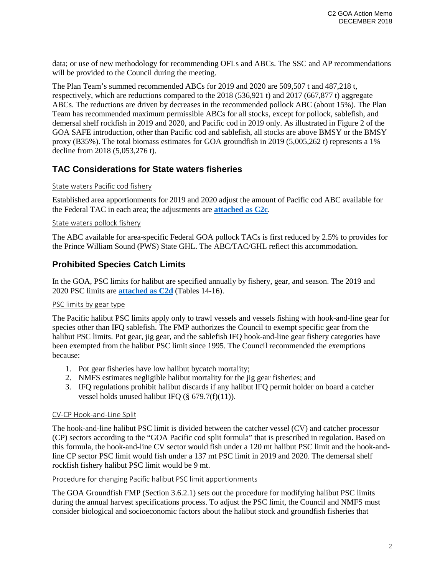data; or use of new methodology for recommending OFLs and ABCs. The SSC and AP recommendations will be provided to the Council during the meeting.

The Plan Team's summed recommended ABCs for 2019 and 2020 are 509,507 t and 487,218 t, respectively, which are reductions compared to the 2018 (536,921 t) and 2017 (667,877 t) aggregate ABCs. The reductions are driven by decreases in the recommended pollock ABC (about 15%). The Plan Team has recommended maximum permissible ABCs for all stocks, except for pollock, sablefish, and demersal shelf rockfish in 2019 and 2020, and Pacific cod in 2019 only. As illustrated in Figure 2 of the GOA SAFE introduction, other than Pacific cod and sablefish, all stocks are above BMSY or the BMSY proxy (B35%). The total biomass estimates for GOA groundfish in 2019 (5,005,262 t) represents a 1% decline from 2018 (5,053,276 t).

## **TAC Considerations for State waters fisheries**

#### State waters Pacific cod fishery

Established area apportionments for 2019 and 2020 adjust the amount of Pacific cod ABC available for the Federal TAC in each area; the adjustments are **[attached as](https://meetings.npfmc.org/CommentReview/DownloadFile?p=31b3085c-8e29-4c56-ba0e-4e7b346be075.pdf&fileName=C2c-e%20Tables.pdf) C2c**.

#### State waters pollock fishery

The ABC available for area-specific Federal GOA pollock TACs is first reduced by 2.5% to provides for the Prince William Sound (PWS) State GHL. The ABC/TAC/GHL reflect this accommodation.

## **Prohibited Species Catch Limits**

In the GOA, PSC limits for halibut are specified annually by fishery, gear, and season. The 2019 and 2020 PSC limits are **[attached as](https://meetings.npfmc.org/CommentReview/DownloadFile?p=31b3085c-8e29-4c56-ba0e-4e7b346be075.pdf&fileName=C2c-e%20Tables.pdf) C2d** (Tables 14-16).

#### PSC limits by gear type

The Pacific halibut PSC limits apply only to trawl vessels and vessels fishing with hook-and-line gear for species other than IFQ sablefish. The FMP authorizes the Council to exempt specific gear from the halibut PSC limits. Pot gear, jig gear, and the sablefish IFQ hook-and-line gear fishery categories have been exempted from the halibut PSC limit since 1995. The Council recommended the exemptions because:

- 1. Pot gear fisheries have low halibut bycatch mortality;
- 2. NMFS estimates negligible halibut mortality for the jig gear fisheries; and
- 3. IFQ regulations prohibit halibut discards if any halibut IFQ permit holder on board a catcher vessel holds unused halibut IFQ  $(\S 679.7(f)(11))$ .

#### CV-CP Hook-and-Line Split

The hook-and-line halibut PSC limit is divided between the catcher vessel (CV) and catcher processor (CP) sectors according to the "GOA Pacific cod split formula" that is prescribed in regulation. Based on this formula, the hook-and-line CV sector would fish under a 120 mt halibut PSC limit and the hook-andline CP sector PSC limit would fish under a 137 mt PSC limit in 2019 and 2020. The demersal shelf rockfish fishery halibut PSC limit would be 9 mt.

#### Procedure for changing Pacific halibut PSC limit apportionments

The GOA Groundfish FMP (Section 3.6.2.1) sets out the procedure for modifying halibut PSC limits during the annual harvest specifications process. To adjust the PSC limit, the Council and NMFS must consider biological and socioeconomic factors about the halibut stock and groundfish fisheries that